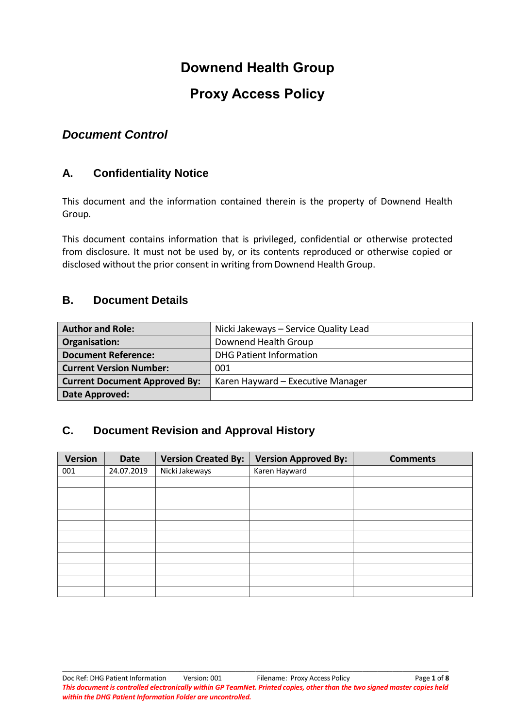# **Downend Health Group**

# **Proxy Access Policy**

# *Document Control*

# **A. Confidentiality Notice**

This document and the information contained therein is the property of Downend Health Group.

This document contains information that is privileged, confidential or otherwise protected from disclosure. It must not be used by, or its contents reproduced or otherwise copied or disclosed without the prior consent in writing from Downend Health Group.

# **B. Document Details**

| <b>Author and Role:</b>              | Nicki Jakeways - Service Quality Lead |
|--------------------------------------|---------------------------------------|
| Organisation:                        | Downend Health Group                  |
| <b>Document Reference:</b>           | <b>DHG Patient Information</b>        |
| <b>Current Version Number:</b>       | 001                                   |
| <b>Current Document Approved By:</b> | Karen Hayward - Executive Manager     |
| Date Approved:                       |                                       |

# **C. Document Revision and Approval History**

| <b>Version</b> | Date       | <b>Version Created By:</b> | <b>Version Approved By:</b> | <b>Comments</b> |
|----------------|------------|----------------------------|-----------------------------|-----------------|
| 001            | 24.07.2019 | Nicki Jakeways             | Karen Hayward               |                 |
|                |            |                            |                             |                 |
|                |            |                            |                             |                 |
|                |            |                            |                             |                 |
|                |            |                            |                             |                 |
|                |            |                            |                             |                 |
|                |            |                            |                             |                 |
|                |            |                            |                             |                 |
|                |            |                            |                             |                 |
|                |            |                            |                             |                 |
|                |            |                            |                             |                 |
|                |            |                            |                             |                 |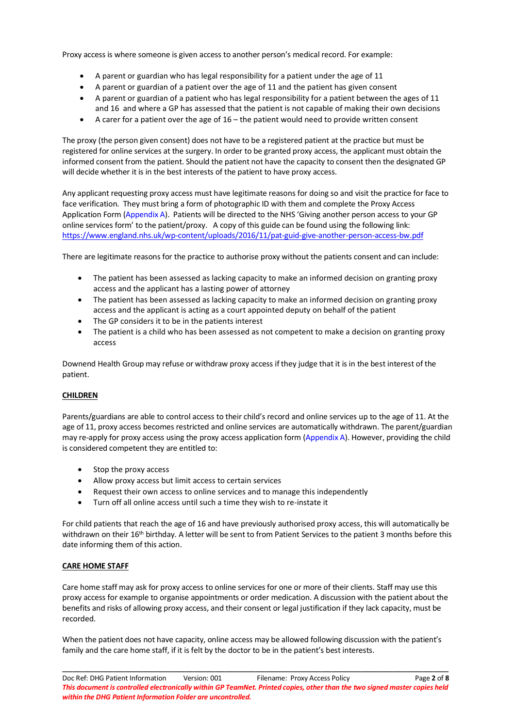Proxy access is where someone is given access to another person's medical record. For example:

- A parent or guardian who has legal responsibility for a patient under the age of 11
- A parent or guardian of a patient over the age of 11 and the patient has given consent
- A parent or guardian of a patient who has legal responsibility for a patient between the ages of 11 and 16 and where a GP has assessed that the patient is not capable of making their own decisions
- A carer for a patient over the age of 16 the patient would need to provide written consent

The proxy (the person given consent) does not have to be a registered patient at the practice but must be registered for online services at the surgery. In order to be granted proxy access, the applicant must obtain the informed consent from the patient. Should the patient not have the capacity to consent then the designated GP will decide whether it is in the best interests of the patient to have proxy access.

Any applicant requesting proxy access must have legitimate reasons for doing so and visit the practice for face to face verification. They must bring a form of photographic ID with them and complete the Proxy Access Application Form (Appendix A). Patients will be directed to the NHS 'Giving another person access to your GP online services form' to the patient/proxy. A copy of this guide can be found using the following link: <https://www.england.nhs.uk/wp-content/uploads/2016/11/pat-guid-give-another-person-access-bw.pdf>

There are legitimate reasons for the practice to authorise proxy without the patients consent and can include:

- The patient has been assessed as lacking capacity to make an informed decision on granting proxy access and the applicant has a lasting power of attorney
- The patient has been assessed as lacking capacity to make an informed decision on granting proxy access and the applicant is acting as a court appointed deputy on behalf of the patient
- The GP considers it to be in the patients interest
- The patient is a child who has been assessed as not competent to make a decision on granting proxy access

Downend Health Group may refuse or withdraw proxy access if they judge that it is in the best interest of the patient.

### **CHILDREN**

Parents/guardians are able to control access to their child's record and online services up to the age of 11. At the age of 11, proxy access becomes restricted and online services are automatically withdrawn. The parent/guardian may re-apply for proxy access using the proxy access application form (Appendix A). However, providing the child is considered competent they are entitled to:

- Stop the proxy access
- Allow proxy access but limit access to certain services
- Request their own access to online services and to manage this independently
- Turn off all online access until such a time they wish to re-instate it

For child patients that reach the age of 16 and have previously authorised proxy access, this will automatically be withdrawn on their 16<sup>th</sup> birthday. A letter will be sent to from Patient Services to the patient 3 months before this date informing them of this action.

### **CARE HOME STAFF**

Care home staff may ask for proxy access to online services for one or more of their clients. Staff may use this proxy access for example to organise appointments or order medication. A discussion with the patient about the benefits and risks of allowing proxy access, and their consent or legal justification if they lack capacity, must be recorded.

When the patient does not have capacity, online access may be allowed following discussion with the patient's family and the care home staff, if it is felt by the doctor to be in the patient's best interests.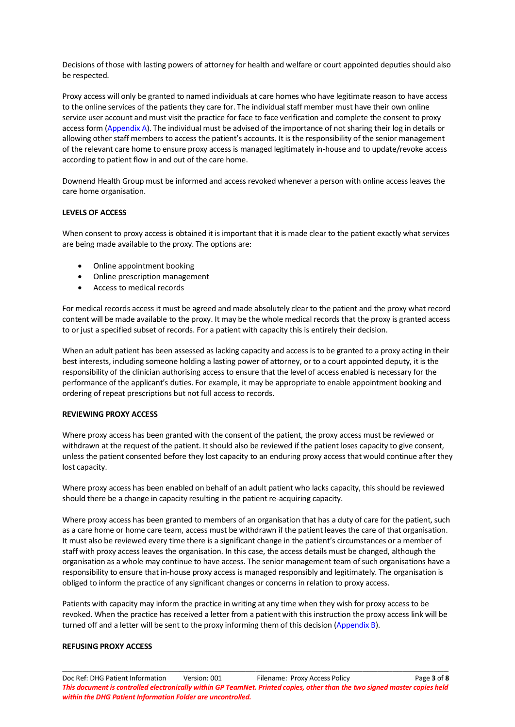Decisions of those with lasting powers of attorney for health and welfare or court appointed deputies should also be respected.

Proxy access will only be granted to named individuals at care homes who have legitimate reason to have access to the online services of the patients they care for. The individual staff member must have their own online service user account and must visit the practice for face to face verification and complete the consent to proxy access form (Appendix A). The individual must be advised of the importance of not sharing their log in details or allowing other staff members to access the patient's accounts. It is the responsibility of the senior management of the relevant care home to ensure proxy access is managed legitimately in-house and to update/revoke access according to patient flow in and out of the care home.

Downend Health Group must be informed and access revoked whenever a person with online access leaves the care home organisation.

#### **LEVELS OF ACCESS**

When consent to proxy access is obtained it is important that it is made clear to the patient exactly what services are being made available to the proxy. The options are:

- Online appointment booking
- Online prescription management
- Access to medical records

For medical records access it must be agreed and made absolutely clear to the patient and the proxy what record content will be made available to the proxy. It may be the whole medical records that the proxy is granted access to or just a specified subset of records. For a patient with capacity this is entirely their decision.

When an adult patient has been assessed as lacking capacity and access is to be granted to a proxy acting in their best interests, including someone holding a lasting power of attorney, or to a court appointed deputy, it is the responsibility of the clinician authorising access to ensure that the level of access enabled is necessary for the performance of the applicant's duties. For example, it may be appropriate to enable appointment booking and ordering of repeat prescriptions but not full access to records.

#### **REVIEWING PROXY ACCESS**

Where proxy access has been granted with the consent of the patient, the proxy access must be reviewed or withdrawn at the request of the patient. It should also be reviewed if the patient loses capacity to give consent, unless the patient consented before they lost capacity to an enduring proxy access that would continue after they lost capacity.

Where proxy access has been enabled on behalf of an adult patient who lacks capacity, this should be reviewed should there be a change in capacity resulting in the patient re-acquiring capacity.

Where proxy access has been granted to members of an organisation that has a duty of care for the patient, such as a care home or home care team, access must be withdrawn if the patient leaves the care of that organisation. It must also be reviewed every time there is a significant change in the patient's circumstances or a member of staff with proxy access leaves the organisation. In this case, the access details must be changed, although the organisation as a whole may continue to have access. The senior management team of such organisations have a responsibility to ensure that in-house proxy access is managed responsibly and legitimately. The organisation is obliged to inform the practice of any significant changes or concerns in relation to proxy access.

Patients with capacity may inform the practice in writing at any time when they wish for proxy access to be revoked. When the practice has received a letter from a patient with this instruction the proxy access link will be turned off and a letter will be sent to the proxy informing them of this decision (Appendix B).

#### **REFUSING PROXY ACCESS**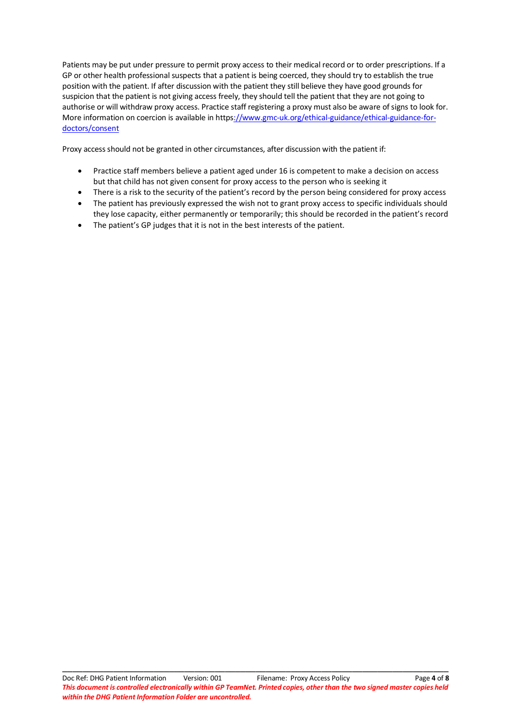Patients may be put under pressure to permit proxy access to their medical record or to order prescriptions. If a GP or other health professional suspects that a patient is being coerced, they should try to establish the true position with the patient. If after discussion with the patient they still believe they have good grounds for suspicion that the patient is not giving access freely, they should tell the patient that they are not going to authorise or will withdraw proxy access. Practice staff registering a proxy must also be aware of signs to look for. More information on coercion is available in http[s://www.gmc-uk.org/ethical-guidance/ethical-guidance-for](file://///Sglos.XSWHealth.nhs.uk/GP/The%20Downend%20Health%20Group/PracticeArea/0.%20Old%20Christchurch/Reference/002%20PRACTICE%20ADMINISTRATION/Nicki%20Jakeways/Miscellaneous/Work%20in%20progress%20proxy%20access%20policy.docx)[doctors/consent](file://///Sglos.XSWHealth.nhs.uk/GP/The%20Downend%20Health%20Group/PracticeArea/0.%20Old%20Christchurch/Reference/002%20PRACTICE%20ADMINISTRATION/Nicki%20Jakeways/Miscellaneous/Work%20in%20progress%20proxy%20access%20policy.docx)

Proxy access should not be granted in other circumstances, after discussion with the patient if:

- Practice staff members believe a patient aged under 16 is competent to make a decision on access but that child has not given consent for proxy access to the person who is seeking it
- There is a risk to the security of the patient's record by the person being considered for proxy access
- The patient has previously expressed the wish not to grant proxy access to specific individuals should they lose capacity, either permanently or temporarily; this should be recorded in the patient's record
- The patient's GP judges that it is not in the best interests of the patient.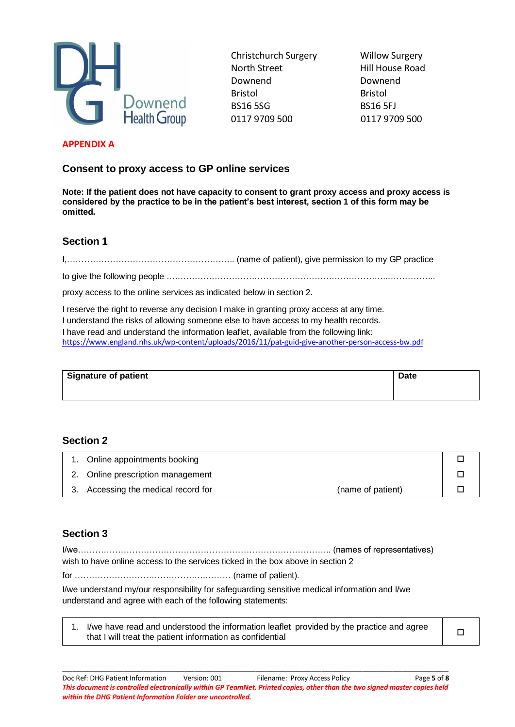

Christchurch Surgery Willow Surgery North Street Hill House Road Downend Downend Bristol Bristol BS16 5SG BS16 5FJ 0117 9709 500 0117 9709 500

### **APPENDIX A**

**Consent to proxy access to GP online services**

**Note: If the patient does not have capacity to consent to grant proxy access and proxy access is considered by the practice to be in the patient's best interest, section 1 of this form may be omitted.**

# **Section 1**

I,………………………………………………….. (name of patient), give permission to my GP practice

to give the following people ….………………………………………………………………..……………..

proxy access to the online services as indicated below in section 2.

I reserve the right to reverse any decision I make in granting proxy access at any time. I understand the risks of allowing someone else to have access to my health records. I have read and understand the information leaflet, available from the following link: <https://www.england.nhs.uk/wp-content/uploads/2016/11/pat-guid-give-another-person-access-bw.pdf>

| Signature of patient | <b>Date</b> |
|----------------------|-------------|
|                      |             |
|                      |             |
|                      |             |

## **Section 2**

| Online appointments booking         |                   |  |
|-------------------------------------|-------------------|--|
| 2. Online prescription management   |                   |  |
| 3. Accessing the medical record for | (name of patient) |  |

# **Section 3**

I/we…………………………………………………………………………….. (names of representatives)

wish to have online access to the services ticked in the box above in section 2

for ……………………………………….……… (name of patient).

I/we understand my/our responsibility for safeguarding sensitive medical information and I/we understand and agree with each of the following statements:

| I/we have read and understood the information leaflet provided by the practice and agree |  |
|------------------------------------------------------------------------------------------|--|
| that I will treat the patient information as confidential                                |  |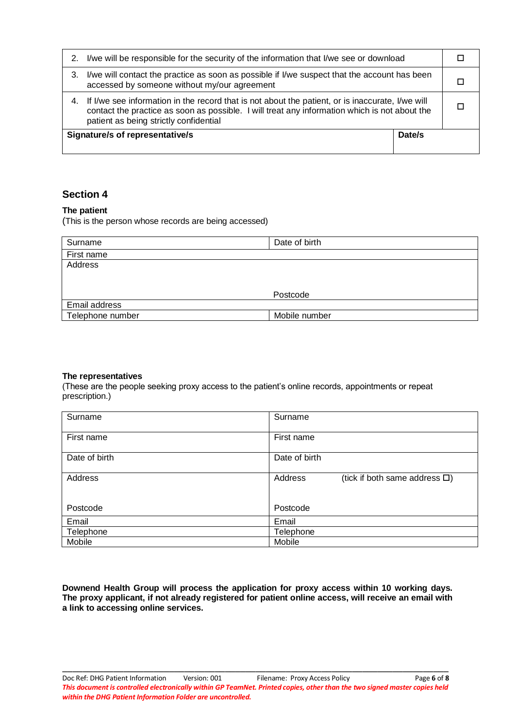| 2. | I/we will be responsible for the security of the information that I/we see or download                                                                                                                                                         |        |  |
|----|------------------------------------------------------------------------------------------------------------------------------------------------------------------------------------------------------------------------------------------------|--------|--|
| З. | I/we will contact the practice as soon as possible if I/we suspect that the account has been<br>accessed by someone without my/our agreement                                                                                                   |        |  |
|    | 4. If I/we see information in the record that is not about the patient, or is inaccurate, I/we will<br>contact the practice as soon as possible. I will treat any information which is not about the<br>patient as being strictly confidential |        |  |
|    | <b>Signature/s of representative/s</b>                                                                                                                                                                                                         | Date/s |  |

## **Section 4**

### **The patient**

(This is the person whose records are being accessed)

| Surname          | Date of birth |
|------------------|---------------|
| First name       |               |
| Address          |               |
|                  |               |
|                  |               |
|                  | Postcode      |
| Email address    |               |
| Telephone number | Mobile number |

### **The representatives**

(These are the people seeking proxy access to the patient's online records, appointments or repeat prescription.)

| Surname       | Surname                                           |
|---------------|---------------------------------------------------|
| First name    | First name                                        |
| Date of birth | Date of birth                                     |
| Address       | Address<br>(tick if both same address $\square$ ) |
| Postcode      | Postcode                                          |
| Email         | Email                                             |
| Telephone     | Telephone                                         |
| Mobile        | Mobile                                            |

**Downend Health Group will process the application for proxy access within 10 working days. The proxy applicant, if not already registered for patient online access, will receive an email with a link to accessing online services.**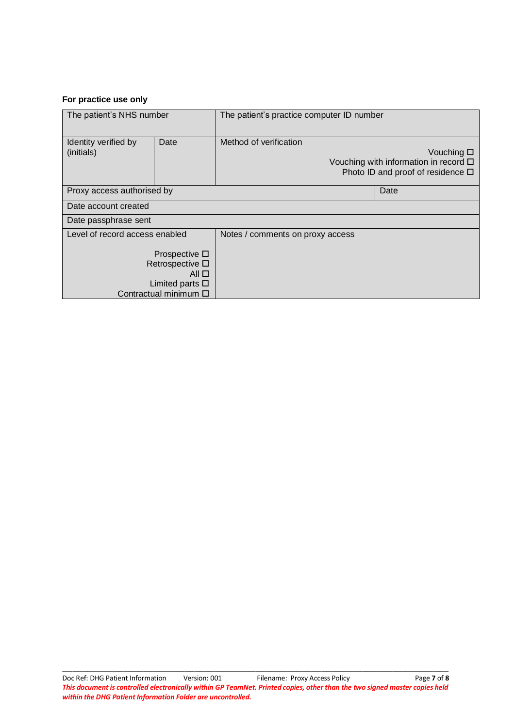### **For practice use only**

| The patient's NHS number           |                                                                                                                         | The patient's practice computer ID number |                                                                                                               |  |
|------------------------------------|-------------------------------------------------------------------------------------------------------------------------|-------------------------------------------|---------------------------------------------------------------------------------------------------------------|--|
| Identity verified by<br>(initials) | Date                                                                                                                    | Method of verification                    | Vouching $\square$<br>Vouching with information in record $\Box$<br>Photo ID and proof of residence $\square$ |  |
| Proxy access authorised by<br>Date |                                                                                                                         |                                           |                                                                                                               |  |
| Date account created               |                                                                                                                         |                                           |                                                                                                               |  |
| Date passphrase sent               |                                                                                                                         |                                           |                                                                                                               |  |
| Level of record access enabled     |                                                                                                                         | Notes / comments on proxy access          |                                                                                                               |  |
|                                    | Prospective $\square$<br>Retrospective $\square$<br>All $\Box$<br>Limited parts $\square$<br>Contractual minimum $\Box$ |                                           |                                                                                                               |  |